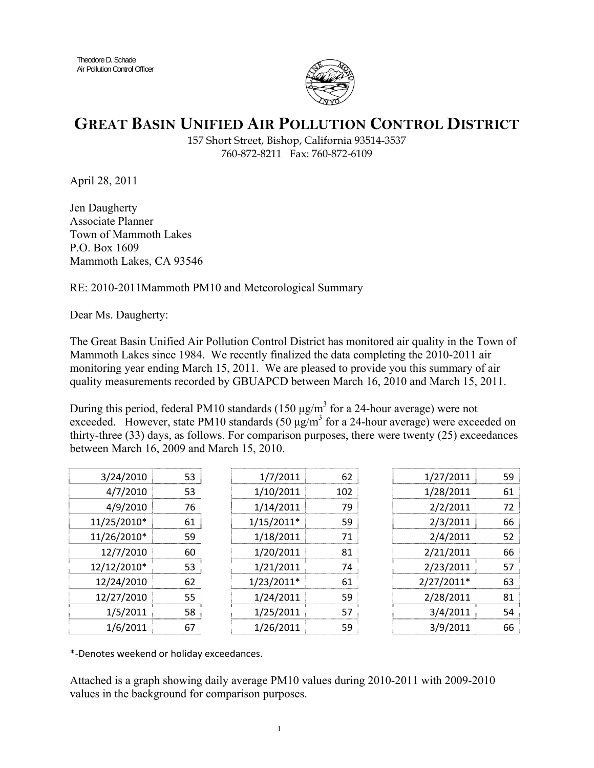

## **GREAT BASIN UNIFIED AIR POLLUTION CONTROL DISTRICT**

157 Short Street, Bishop, California 93514-3537 760-872-8211 Fax: 760-872-6109

April 28, 2011

Jen Daugherty Associate Planner Town of Mammoth Lakes P.O. Box 1609 Mammoth Lakes, CA 93546

RE: 2010-2011Mammoth PM10 and Meteorological Summary

Dear Ms. Daugherty:

The Great Basin Unified Air Pollution Control District has monitored air quality in the Town of Mammoth Lakes since 1984. We recently finalized the data completing the 2010-2011 air monitoring year ending March 15, 2011. We are pleased to provide you this summary of air quality measurements recorded by GBUAPCD between March 16, 2010 and March 15, 2011.

During this period, federal PM10 standards (150  $\mu$ g/m<sup>3</sup> for a 24-hour average) were not exceeded. However, state PM10 standards  $(50 \mu g/m^3$  for a 24-hour average) were exceeded on thirty-three (33) days, as follows. For comparison purposes, there were twenty (25) exceedances between March 16, 2009 and March 15, 2010.

| 3/24/2010   | 53 | 1/7/2011     | 62  | 1/27/2011  | 59 |
|-------------|----|--------------|-----|------------|----|
| 4/7/2010    | 53 | 1/10/2011    | 102 | 1/28/2011  | 61 |
| 4/9/2010    | 76 | 1/14/2011    | 79  | 2/2/2011   | 72 |
| 11/25/2010* | 61 | $1/15/2011*$ | 59  | 2/3/2011   | 66 |
| 11/26/2010* | 59 | 1/18/2011    | 71  | 2/4/2011   | 52 |
| 12/7/2010   | 60 | 1/20/2011    | 81  | 2/21/2011  | 66 |
| 12/12/2010* | 53 | 1/21/2011    | 74  | 2/23/2011  | 57 |
| 12/24/2010  | 62 | $1/23/2011*$ | 61  | 2/27/2011* | 63 |
| 12/27/2010  | 55 | 1/24/2011    | 59  | 2/28/2011  | 81 |
| 1/5/2011    | 58 | 1/25/2011    | 57  | 3/4/2011   | 54 |
| 1/6/2011    | 67 | 1/26/2011    | 59  | 3/9/2011   | 66 |

\*‐Denotes weekend or holiday exceedances.

Attached is a graph showing daily average PM10 values during 2010-2011 with 2009-2010 values in the background for comparison purposes.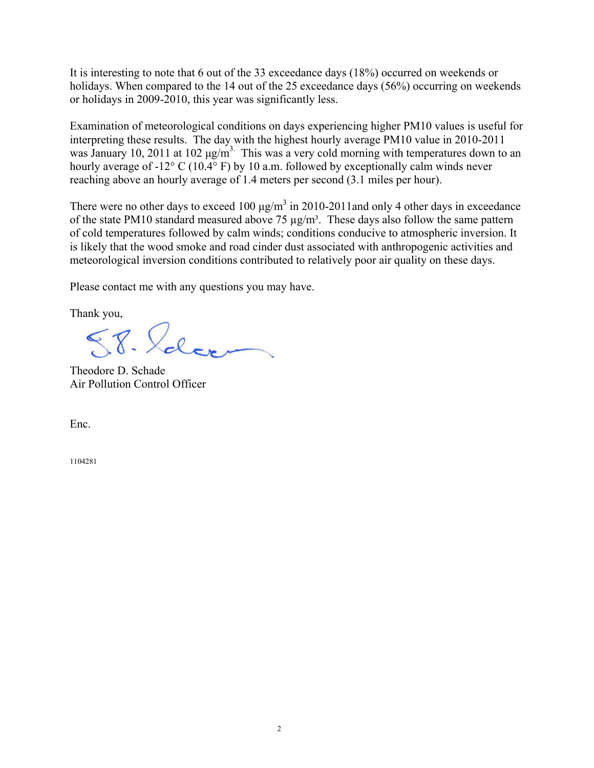It is interesting to note that 6 out of the 33 exceedance days (18%) occurred on weekends or holidays. When compared to the 14 out of the 25 exceedance days (56%) occurring on weekends or holidays in 2009-2010, this year was significantly less.

Examination of meteorological conditions on days experiencing higher PM10 values is useful for interpreting these results. The day with the highest hourly average PM10 value in 2010-2011 was January 10, 2011 at 102  $\mu$ g/m<sup>3.</sup> This was a very cold morning with temperatures down to an hourly average of -12° C (10.4° F) by 10 a.m. followed by exceptionally calm winds never reaching above an hourly average of 1.4 meters per second (3.1 miles per hour).

There were no other days to exceed 100  $\mu$ g/m<sup>3</sup> in 2010-2011and only 4 other days in exceedance of the state PM10 standard measured above 75  $\mu$ g/m<sup>3</sup>. These days also follow the same pattern of cold temperatures followed by calm winds; conditions conducive to atmospheric inversion. It is likely that the wood smoke and road cinder dust associated with anthropogenic activities and meteorological inversion conditions contributed to relatively poor air quality on these days.

Please contact me with any questions you may have.

Thank you,

 $88.22$ 

Theodore D. Schade Air Pollution Control Officer

Enc.

1104281